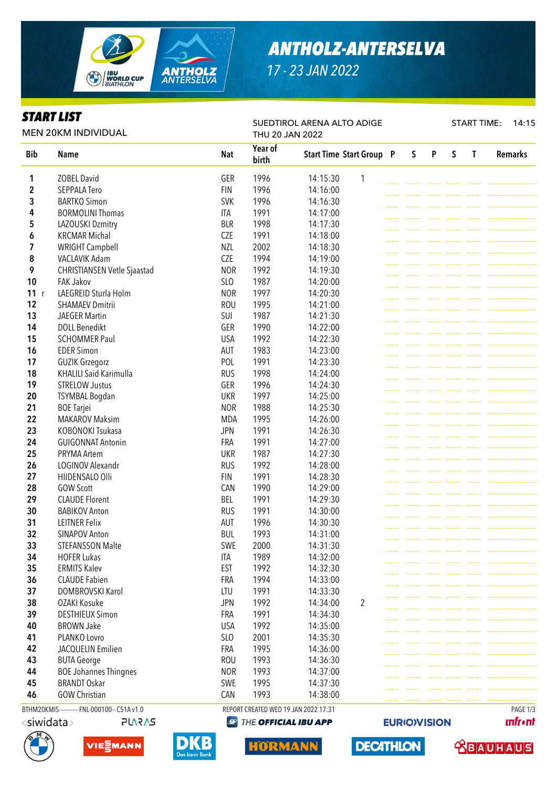

# *ANTHOLZ-ANTERSELVA*

*17 - 23 JAN 2022*

SUEDTIROL ARENA ALTO ADIGE

### *START LIST*

START TIME: 14:15

| <b>MEN 20KM INDIVIDUAL</b> |                                              |            | THU 20 JAN 2022                      |                                 |                |  |   |   |   |          |                |
|----------------------------|----------------------------------------------|------------|--------------------------------------|---------------------------------|----------------|--|---|---|---|----------|----------------|
| <b>Bib</b>                 | <b>Name</b>                                  | <b>Nat</b> | Year of<br>birth                     | <b>Start Time Start Group P</b> |                |  | S | P | S | T        | <b>Remarks</b> |
| 1                          | <b>ZOBEL David</b>                           | GER        | 1996                                 | 14:15:30                        | 1              |  |   |   |   |          |                |
| 2                          | <b>SEPPALA Tero</b>                          | <b>FIN</b> | 1996                                 | 14:16:00                        |                |  |   |   |   |          |                |
| 3                          | <b>BARTKO Simon</b>                          | <b>SVK</b> | 1996                                 | 14:16:30                        |                |  |   |   |   |          |                |
| 4                          | <b>BORMOLINI Thomas</b>                      | <b>ITA</b> | 1991                                 | 14:17:00                        |                |  |   |   |   |          |                |
| 5                          | LAZOUSKI Dzmitry                             | <b>BLR</b> | 1998                                 | 14:17:30                        |                |  |   |   |   |          |                |
| 6                          | <b>KRCMAR Michal</b>                         | <b>CZE</b> | 1991                                 | 14:18:00                        |                |  |   |   |   |          |                |
| 7                          | <b>WRIGHT Campbell</b>                       | <b>NZL</b> | 2002                                 | 14:18:30                        |                |  |   |   |   |          |                |
| 8                          | VACLAVIK Adam                                | <b>CZE</b> | 1994                                 | 14:19:00                        |                |  |   |   |   |          |                |
| 9                          | CHRISTIANSEN Vetle Sjaastad                  | <b>NOR</b> | 1992                                 | 14:19:30                        |                |  |   |   |   |          |                |
| 10                         | <b>FAK Jakov</b>                             | SLO        | 1987                                 | 14:20:00                        |                |  |   |   |   |          |                |
| 11<br>r                    | LAEGREID Sturla Holm                         | <b>NOR</b> | 1997                                 | 14:20:30                        |                |  |   |   |   |          |                |
| 12                         | <b>SHAMAEV Dmitrii</b>                       | <b>ROU</b> | 1995                                 | 14:21:00                        |                |  |   |   |   |          |                |
| 13                         | <b>JAEGER Martin</b>                         | SUI        | 1987                                 | 14:21:30                        |                |  |   |   |   |          |                |
| 14                         | <b>DOLL Benedikt</b>                         | GER        | 1990                                 | 14:22:00                        |                |  |   |   |   |          |                |
| 15                         | <b>SCHOMMER Paul</b>                         | <b>USA</b> | 1992                                 | 14:22:30                        |                |  |   |   |   |          |                |
| 16                         | <b>EDER Simon</b>                            | AUT        | 1983                                 | 14:23:00                        |                |  |   |   |   |          |                |
| 17                         | <b>GUZIK Grzegorz</b>                        | POL        | 1991                                 | 14:23:30                        |                |  |   |   |   |          |                |
| 18                         | <b>KHALILI Said Karimulla</b>                | <b>RUS</b> | 1998                                 | 14:24:00                        |                |  |   |   |   |          |                |
| 19                         | <b>STRELOW Justus</b>                        | GER        | 1996                                 | 14:24:30                        |                |  |   |   |   |          |                |
| 20                         | <b>TSYMBAL Bogdan</b>                        | <b>UKR</b> | 1997                                 | 14:25:00                        |                |  |   |   |   |          |                |
| 21                         |                                              | <b>NOR</b> | 1988                                 |                                 |                |  |   |   |   |          |                |
| 22                         | <b>BOE Tarjei</b><br><b>MAKAROV Maksim</b>   | <b>MDA</b> | 1995                                 | 14:25:30<br>14:26:00            |                |  |   |   |   |          |                |
| 23                         | KOBONOKI Tsukasa                             |            | 1991                                 |                                 |                |  |   |   |   |          |                |
|                            |                                              | <b>JPN</b> |                                      | 14:26:30                        |                |  |   |   |   |          |                |
| 24                         | <b>GUIGONNAT Antonin</b>                     | FRA        | 1991                                 | 14:27:00                        |                |  |   |   |   |          |                |
| 25                         | PRYMA Artem                                  | <b>UKR</b> | 1987                                 | 14:27:30                        |                |  |   |   |   |          |                |
| 26                         | LOGINOV Alexandr                             | <b>RUS</b> | 1992                                 | 14:28:00                        |                |  |   |   |   |          |                |
| 27                         | HIIDENSALO Olli                              | <b>FIN</b> | 1991                                 | 14:28:30                        |                |  |   |   |   |          |                |
| 28                         | <b>GOW Scott</b>                             | CAN        | 1990                                 | 14:29:00                        |                |  |   |   |   |          |                |
| 29                         | <b>CLAUDE Florent</b>                        | <b>BEL</b> | 1991                                 | 14:29:30                        |                |  |   |   |   |          |                |
| 30                         | <b>BABIKOV Anton</b>                         | <b>RUS</b> | 1991                                 | 14:30:00                        |                |  |   |   |   |          |                |
| 31                         | <b>LEITNER Felix</b>                         | <b>AUT</b> | 1996                                 | 14:30:30                        |                |  |   |   |   |          |                |
| 32                         | <b>SINAPOV Anton</b>                         | <b>BUL</b> | 1993                                 | 14:31:00                        |                |  |   |   |   |          |                |
| 33                         | <b>STEFANSSON Malte</b>                      | SWE        | 2000                                 | 14:31:30                        |                |  |   |   |   |          |                |
| 34                         | <b>HOFER Lukas</b>                           | <b>ITA</b> | 1989                                 | 14:32:00                        |                |  |   |   |   |          |                |
| 35                         | <b>ERMITS Kalev</b>                          | <b>EST</b> | 1992                                 | 14:32:30                        |                |  |   |   |   |          |                |
| 36                         | <b>CLAUDE Fabien</b>                         | FRA        | 1994                                 | 14:33:00                        |                |  |   |   |   |          |                |
| 37                         | DOMBROVSKI Karol                             | LTU        | 1991                                 | 14:33:30                        |                |  |   |   |   |          |                |
| 38                         | <b>OZAKI Kosuke</b>                          | <b>JPN</b> | 1992                                 | 14:34:00                        | $\overline{2}$ |  |   |   |   |          |                |
| 39                         | <b>DESTHIEUX Simon</b>                       | FRA        | 1991                                 | 14:34:30                        |                |  |   |   |   |          |                |
| 40                         | <b>BROWN Jake</b>                            | <b>USA</b> | 1992                                 | 14:35:00                        |                |  |   |   |   |          |                |
| 41                         | PLANKO Lovro                                 | SLO        | 2001                                 | 14:35:30                        |                |  |   |   |   |          |                |
| 42                         | JACQUELIN Emilien                            | FRA        | 1995                                 | 14:36:00                        |                |  |   |   |   |          |                |
| 43                         | <b>BUTA George</b>                           | <b>ROU</b> | 1993                                 | 14:36:30                        |                |  |   |   |   |          |                |
| 44                         | <b>BOE Johannes Thingnes</b>                 | <b>NOR</b> | 1993                                 | 14:37:00                        |                |  |   |   |   |          |                |
| 45                         | <b>BRANDT Oskar</b>                          | SWE        | 1995                                 | 14:37:30                        |                |  |   |   |   |          |                |
| 46                         | <b>GOW Christian</b>                         | CAN        | 1993                                 | 14:38:00                        |                |  |   |   |   |          |                |
|                            | BTHM20KMIS------------FNL-000100-- C51A v1.0 |            | REPORT CREATED WED 19 JAN 2022 17:31 |                                 |                |  |   |   |   | PAGE 1/3 |                |

<siwidata>







**HORMANN** 

**DECATHLON** 

**EURIO)VISION** 

 **<u>CBAUHAUS</u>** 

**unfront**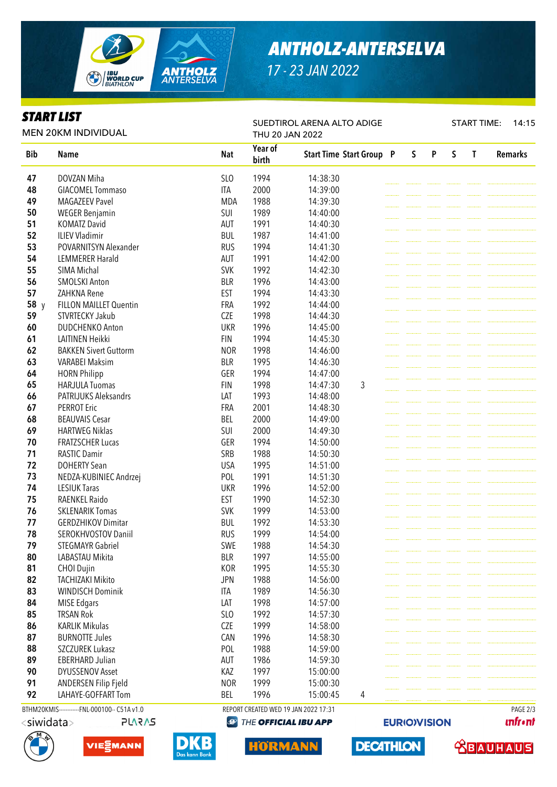

# *ANTHOLZ-ANTERSELVA*

*17 - 23 JAN 2022*

SUEDTIROL ARENA ALTO ADIGE

#### *START LIST*

START TIME: 14:15

| <b>MEN 20KM INDIVIDUAL</b>                   |                              |            | THU 20 JAN 2022  |                                      |  |              |   |   |              |                |
|----------------------------------------------|------------------------------|------------|------------------|--------------------------------------|--|--------------|---|---|--------------|----------------|
| <b>Bib</b>                                   | <b>Name</b>                  | <b>Nat</b> | Year of<br>birth | <b>Start Time Start Group P</b>      |  | $\mathsf{S}$ | P | S | $\mathbf{T}$ | <b>Remarks</b> |
| 47                                           | DOVZAN Miha                  | SLO        | 1994             | 14:38:30                             |  |              |   |   |              |                |
| 48                                           | <b>GIACOMEL Tommaso</b>      | <b>ITA</b> | 2000             | 14:39:00                             |  |              |   |   |              |                |
| 49                                           | <b>MAGAZEEV Pavel</b>        | <b>MDA</b> | 1988             | 14:39:30                             |  |              |   |   |              |                |
| 50                                           | <b>WEGER Benjamin</b>        | SUI        | 1989             | 14:40:00                             |  |              |   |   |              |                |
| 51                                           | <b>KOMATZ David</b>          | AUT        | 1991             | 14:40:30                             |  |              |   |   |              |                |
| 52                                           | <b>ILIEV Vladimir</b>        | <b>BUL</b> | 1987             | 14:41:00                             |  |              |   |   |              |                |
| 53                                           | POVARNITSYN Alexander        | <b>RUS</b> | 1994             | 14:41:30                             |  |              |   |   |              |                |
| 54                                           | <b>LEMMERER Harald</b>       | <b>AUT</b> | 1991             | 14:42:00                             |  |              |   |   |              |                |
| 55                                           | SIMA Michal                  | <b>SVK</b> | 1992             | 14:42:30                             |  |              |   |   |              |                |
| 56                                           | <b>SMOLSKI Anton</b>         | <b>BLR</b> | 1996             | 14:43:00                             |  |              |   |   |              |                |
| 57                                           | ZAHKNA Rene                  | <b>EST</b> | 1994             | 14:43:30                             |  |              |   |   |              |                |
| 58 y                                         | FILLON MAILLET Quentin       | FRA        | 1992             | 14:44:00                             |  |              |   |   |              |                |
| 59                                           | STVRTECKY Jakub              | <b>CZE</b> | 1998             | 14:44:30                             |  |              |   |   |              |                |
| 60                                           | <b>DUDCHENKO Anton</b>       | <b>UKR</b> | 1996             | 14:45:00                             |  |              |   |   |              |                |
| 61                                           | <b>LAITINEN Heikki</b>       | <b>FIN</b> | 1994             | 14:45:30                             |  |              |   |   |              |                |
| 62                                           | <b>BAKKEN Sivert Guttorm</b> | <b>NOR</b> | 1998             | 14:46:00                             |  |              |   |   |              |                |
| 63                                           | <b>VARABEI Maksim</b>        | <b>BLR</b> | 1995             | 14:46:30                             |  |              |   |   |              |                |
| 64                                           | <b>HORN Philipp</b>          | GER        | 1994             | 14:47:00                             |  |              |   |   |              |                |
| 65                                           | <b>HARJULA Tuomas</b>        | <b>FIN</b> | 1998             | 14:47:30<br>3                        |  |              |   |   |              |                |
| 66                                           | <b>PATRIJUKS Aleksandrs</b>  | LAT        | 1993             | 14:48:00                             |  |              |   |   |              |                |
| 67                                           | <b>PERROT Eric</b>           | FRA        | 2001             | 14:48:30                             |  |              |   |   |              |                |
| 68                                           | <b>BEAUVAIS Cesar</b>        | <b>BEL</b> | 2000             | 14:49:00                             |  |              |   |   |              |                |
| 69                                           | <b>HARTWEG Niklas</b>        | SUI        | 2000             | 14:49:30                             |  |              |   |   |              |                |
| 70                                           | <b>FRATZSCHER Lucas</b>      | GER        | 1994             | 14:50:00                             |  |              |   |   |              |                |
| 71                                           |                              |            |                  |                                      |  |              |   |   |              |                |
|                                              | <b>RASTIC Damir</b>          | SRB        | 1988             | 14:50:30                             |  |              |   |   |              |                |
| 72                                           | <b>DOHERTY Sean</b>          | <b>USA</b> | 1995             | 14:51:00                             |  |              |   |   |              |                |
| 73                                           | NEDZA-KUBINIEC Andrzej       | POL        | 1991             | 14:51:30                             |  |              |   |   |              |                |
| 74                                           | <b>LESIUK Taras</b>          | <b>UKR</b> | 1996             | 14:52:00                             |  |              |   |   |              |                |
| 75                                           | RAENKEL Raido                | <b>EST</b> | 1990             | 14:52:30                             |  |              |   |   |              |                |
| 76                                           | <b>SKLENARIK Tomas</b>       | <b>SVK</b> | 1999             | 14:53:00                             |  |              |   |   |              |                |
| 77                                           | <b>GERDZHIKOV Dimitar</b>    | <b>BUL</b> | 1992             | 14:53:30                             |  |              |   |   |              |                |
| 78                                           | SEROKHVOSTOV Daniil          | <b>RUS</b> | 1999             | 14:54:00                             |  |              |   |   |              |                |
| 79                                           | <b>STEGMAYR Gabriel</b>      | SWE        | 1988             | 14:54:30                             |  |              |   |   |              |                |
| 80                                           | LABASTAU Mikita              | <b>BLR</b> | 1997             | 14:55:00                             |  |              |   |   |              |                |
| 81                                           | CHOI Dujin                   | KOR        | 1995             | 14:55:30                             |  |              |   |   |              |                |
| 82                                           | <b>TACHIZAKI Mikito</b>      | <b>JPN</b> | 1988             | 14:56:00                             |  |              |   |   |              |                |
| 83                                           | <b>WINDISCH Dominik</b>      | <b>ITA</b> | 1989             | 14:56:30                             |  |              |   |   |              |                |
| 84                                           | <b>MISE Edgars</b>           | LAT        | 1998             | 14:57:00                             |  |              |   |   |              |                |
| 85                                           | <b>TRSAN Rok</b>             | SLO        | 1992             | 14:57:30                             |  |              |   |   |              |                |
| 86                                           | <b>KARLIK Mikulas</b>        | CZE        | 1999             | 14:58:00                             |  |              |   |   |              |                |
| 87                                           | <b>BURNOTTE Jules</b>        | CAN        | 1996             | 14:58:30                             |  |              |   |   |              |                |
| 88                                           | SZCZUREK Lukasz              | POL        | 1988             | 14:59:00                             |  |              |   |   |              |                |
| 89                                           | <b>EBERHARD Julian</b>       | AUT        | 1986             | 14:59:30                             |  |              |   |   |              |                |
| 90                                           | <b>DYUSSENOV Asset</b>       | KAZ        | 1997             | 15:00:00                             |  |              |   |   |              |                |
| 91                                           | ANDERSEN Filip Fjeld         | <b>NOR</b> | 1999             | 15:00:30                             |  |              |   |   |              |                |
| 92                                           | LAHAYE-GOFFART Tom           | BEL        | 1996             | 15:00:45<br>4                        |  |              |   |   |              |                |
| BTHM20KMIS------------FNL-000100-- C51A v1.0 |                              |            |                  | REPORT CREATED WED 19 JAN 2022 17:31 |  |              |   |   |              | PAGE 2/3       |









**DECATHLON HORMANN** 

**EURIO)VISION** 

 **<u>CBAUHAUS</u>** 

**unfront**